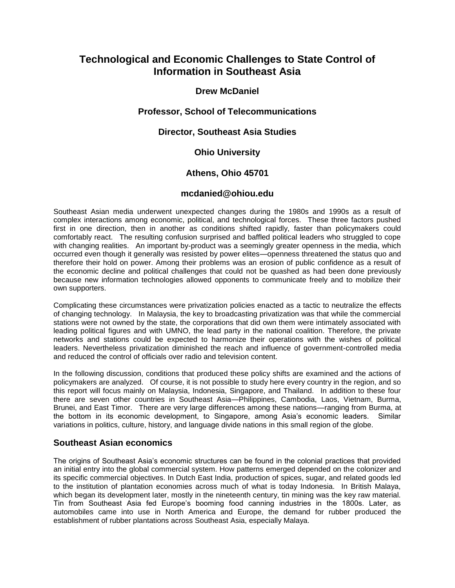# **Technological and Economic Challenges to State Control of Information in Southeast Asia**

## **Drew McDaniel**

## **Professor, School of Telecommunications**

### **Director, Southeast Asia Studies**

## **Ohio University**

## **Athens, Ohio 45701**

#### **mcdanied@ohiou.edu**

Southeast Asian media underwent unexpected changes during the 1980s and 1990s as a result of complex interactions among economic, political, and technological forces. These three factors pushed first in one direction, then in another as conditions shifted rapidly, faster than policymakers could comfortably react. The resulting confusion surprised and baffled political leaders who struggled to cope with changing realities. An important by-product was a seemingly greater openness in the media, which occurred even though it generally was resisted by power elites—openness threatened the status quo and therefore their hold on power. Among their problems was an erosion of public confidence as a result of the economic decline and political challenges that could not be quashed as had been done previously because new information technologies allowed opponents to communicate freely and to mobilize their own supporters.

Complicating these circumstances were privatization policies enacted as a tactic to neutralize the effects of changing technology. In Malaysia, the key to broadcasting privatization was that while the commercial stations were not owned by the state, the corporations that did own them were intimately associated with leading political figures and with UMNO, the lead party in the national coalition. Therefore, the private networks and stations could be expected to harmonize their operations with the wishes of political leaders. Nevertheless privatization diminished the reach and influence of government-controlled media and reduced the control of officials over radio and television content.

In the following discussion, conditions that produced these policy shifts are examined and the actions of policymakers are analyzed. Of course, it is not possible to study here every country in the region, and so this report will focus mainly on Malaysia, Indonesia, Singapore, and Thailand. In addition to these four there are seven other countries in Southeast Asia—Philippines, Cambodia, Laos, Vietnam, Burma, Brunei, and East Timor. There are very large differences among these nations—ranging from Burma, at the bottom in its economic development, to Singapore, among Asia's economic leaders. Similar variations in politics, culture, history, and language divide nations in this small region of the globe.

### **Southeast Asian economics**

The origins of Southeast Asia's economic structures can be found in the colonial practices that provided an initial entry into the global commercial system. How patterns emerged depended on the colonizer and its specific commercial objectives. In Dutch East India, production of spices, sugar, and related goods led to the institution of plantation economies across much of what is today Indonesia. In British Malaya, which began its development later, mostly in the nineteenth century, tin mining was the key raw material. Tin from Southeast Asia fed Europe's booming food canning industries in the 1800s. Later, as automobiles came into use in North America and Europe, the demand for rubber produced the establishment of rubber plantations across Southeast Asia, especially Malaya.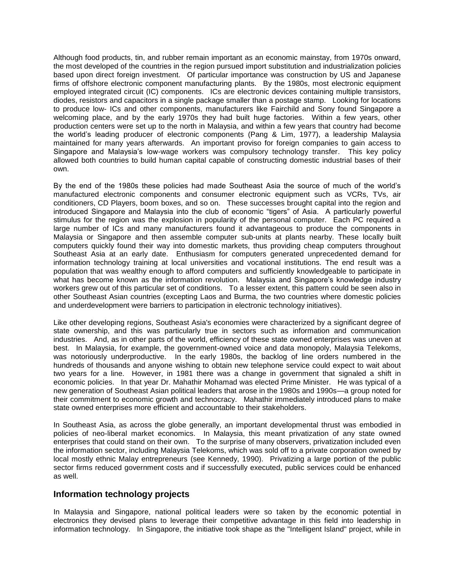Although food products, tin, and rubber remain important as an economic mainstay, from 1970s onward, the most developed of the countries in the region pursued import substitution and industrialization policies based upon direct foreign investment. Of particular importance was construction by US and Japanese firms of offshore electronic component manufacturing plants. By the 1980s, most electronic equipment employed integrated circuit (IC) components. ICs are electronic devices containing multiple transistors, diodes, resistors and capacitors in a single package smaller than a postage stamp. Looking for locations to produce low- ICs and other components, manufacturers like Fairchild and Sony found Singapore a welcoming place, and by the early 1970s they had built huge factories. Within a few years, other production centers were set up to the north in Malaysia, and within a few years that country had become the world's leading producer of electronic components (Pang & Lim, 1977), a leadership Malaysia maintained for many years afterwards. An important proviso for foreign companies to gain access to Singapore and Malaysia's low-wage workers was compulsory technology transfer. This key policy allowed both countries to build human capital capable of constructing domestic industrial bases of their own.

By the end of the 1980s these policies had made Southeast Asia the source of much of the world's manufactured electronic components and consumer electronic equipment such as VCRs, TVs, air conditioners, CD Players, boom boxes, and so on. These successes brought capital into the region and introduced Singapore and Malaysia into the club of economic "tigers" of Asia. A particularly powerful stimulus for the region was the explosion in popularity of the personal computer. Each PC required a large number of ICs and many manufacturers found it advantageous to produce the components in Malaysia or Singapore and then assemble computer sub-units at plants nearby. These locally built computers quickly found their way into domestic markets, thus providing cheap computers throughout Southeast Asia at an early date. Enthusiasm for computers generated unprecedented demand for information technology training at local universities and vocational institutions. The end result was a population that was wealthy enough to afford computers and sufficiently knowledgeable to participate in what has become known as the information revolution. Malaysia and Singapore's knowledge industry workers grew out of this particular set of conditions. To a lesser extent, this pattern could be seen also in other Southeast Asian countries (excepting Laos and Burma, the two countries where domestic policies and underdevelopment were barriers to participation in electronic technology initiatives).

Like other developing regions, Southeast Asia's economies were characterized by a significant degree of state ownership, and this was particularly true in sectors such as information and communication industries. And, as in other parts of the world, efficiency of these state owned enterprises was uneven at best. In Malaysia, for example, the government-owned voice and data monopoly, Malaysia Telekoms, was notoriously underproductive. In the early 1980s, the backlog of line orders numbered in the hundreds of thousands and anyone wishing to obtain new telephone service could expect to wait about two years for a line. However, in 1981 there was a change in government that signaled a shift in economic policies. In that year Dr. Mahathir Mohamad was elected Prime Minister. He was typical of a new generation of Southeast Asian political leaders that arose in the 1980s and 1990s—a group noted for their commitment to economic growth and technocracy. Mahathir immediately introduced plans to make state owned enterprises more efficient and accountable to their stakeholders.

In Southeast Asia, as across the globe generally, an important developmental thrust was embodied in policies of neo-liberal market economics. In Malaysia, this meant privatization of any state owned enterprises that could stand on their own. To the surprise of many observers, privatization included even the information sector, including Malaysia Telekoms, which was sold off to a private corporation owned by local mostly ethnic Malay entrepreneurs (see Kennedy, 1990). Privatizing a large portion of the public sector firms reduced government costs and if successfully executed, public services could be enhanced as well.

### **Information technology projects**

In Malaysia and Singapore, national political leaders were so taken by the economic potential in electronics they devised plans to leverage their competitive advantage in this field into leadership in information technology. In Singapore, the initiative took shape as the "Intelligent Island" project, while in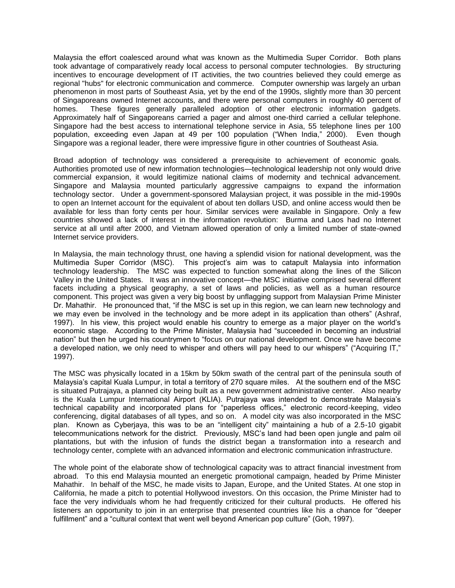Malaysia the effort coalesced around what was known as the Multimedia Super Corridor. Both plans took advantage of comparatively ready local access to personal computer technologies. By structuring incentives to encourage development of IT activities, the two countries believed they could emerge as regional "hubs" for electronic communication and commerce. Computer ownership was largely an urban phenomenon in most parts of Southeast Asia, yet by the end of the 1990s, slightly more than 30 percent of Singaporeans owned Internet accounts, and there were personal computers in roughly 40 percent of homes. These figures generally paralleled adoption of other electronic information gadgets. Approximately half of Singaporeans carried a pager and almost one-third carried a cellular telephone. Singapore had the best access to international telephone service in Asia, 55 telephone lines per 100 population, exceeding even Japan at 49 per 100 population ("When India," 2000). Even though Singapore was a regional leader, there were impressive figure in other countries of Southeast Asia.

Broad adoption of technology was considered a prerequisite to achievement of economic goals. Authorities promoted use of new information technologies—technological leadership not only would drive commercial expansion, it would legitimize national claims of modernity and technical advancement. Singapore and Malaysia mounted particularly aggressive campaigns to expand the information technology sector. Under a government-sponsored Malaysian project, it was possible in the mid-1990s to open an Internet account for the equivalent of about ten dollars USD, and online access would then be available for less than forty cents per hour. Similar services were available in Singapore. Only a few countries showed a lack of interest in the information revolution: Burma and Laos had no Internet service at all until after 2000, and Vietnam allowed operation of only a limited number of state-owned Internet service providers.

In Malaysia, the main technology thrust, one having a splendid vision for national development, was the Multimedia Super Corridor (MSC). This project's aim was to catapult Malaysia into information technology leadership. The MSC was expected to function somewhat along the lines of the Silicon Valley in the United States. It was an innovative concept—the MSC initiative comprised several different facets including a physical geography, a set of laws and policies, as well as a human resource component. This project was given a very big boost by unflagging support from Malaysian Prime Minister Dr. Mahathir. He pronounced that, "if the MSC is set up in this region, we can learn new technology and we may even be involved in the technology and be more adept in its application than others" (Ashraf, 1997). In his view, this project would enable his country to emerge as a major player on the world's economic stage. According to the Prime Minister, Malaysia had "succeeded in becoming an industrial nation" but then he urged his countrymen to "focus on our national development. Once we have become a developed nation, we only need to whisper and others will pay heed to our whispers" ("Acquiring IT," 1997).

The MSC was physically located in a 15km by 50km swath of the central part of the peninsula south of Malaysia's capital Kuala Lumpur, in total a territory of 270 square miles. At the southern end of the MSC is situated Putrajaya, a planned city being built as a new government administrative center. Also nearby is the Kuala Lumpur International Airport (KLIA). Putrajaya was intended to demonstrate Malaysia's technical capability and incorporated plans for "paperless offices," electronic record-keeping, video conferencing, digital databases of all types, and so on. A model city was also incorporated in the MSC plan. Known as Cyberjaya, this was to be an "intelligent city" maintaining a hub of a 2.5-10 gigabit telecommunications network for the district. Previously, MSC's land had been open jungle and palm oil plantations, but with the infusion of funds the district began a transformation into a research and technology center, complete with an advanced information and electronic communication infrastructure.

The whole point of the elaborate show of technological capacity was to attract financial investment from abroad. To this end Malaysia mounted an energetic promotional campaign, headed by Prime Minister Mahathir. In behalf of the MSC, he made visits to Japan, Europe, and the United States. At one stop in California, he made a pitch to potential Hollywood investors. On this occasion, the Prime Minister had to face the very individuals whom he had frequently criticized for their cultural products. He offered his listeners an opportunity to join in an enterprise that presented countries like his a chance for "deeper fulfillment" and a "cultural context that went well beyond American pop culture" (Goh, 1997).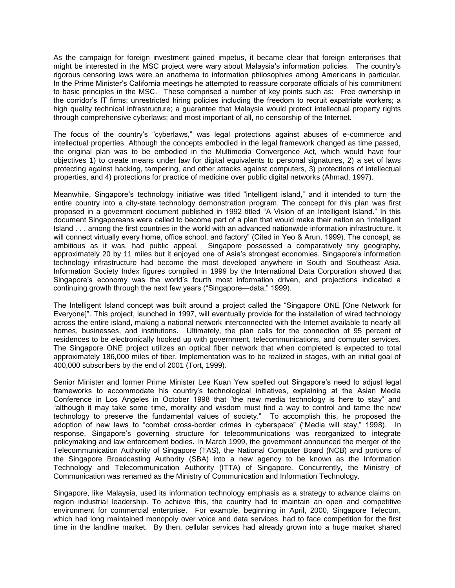As the campaign for foreign investment gained impetus, it became clear that foreign enterprises that might be interested in the MSC project were wary about Malaysia's information policies. The country's rigorous censoring laws were an anathema to information philosophies among Americans in particular. In the Prime Minister's California meetings he attempted to reassure corporate officials of his commitment to basic principles in the MSC. These comprised a number of key points such as: Free ownership in the corridor's IT firms; unrestricted hiring policies including the freedom to recruit expatriate workers; a high quality technical infrastructure; a guarantee that Malaysia would protect intellectual property rights through comprehensive cyberlaws; and most important of all, no censorship of the Internet.

The focus of the country's "cyberlaws," was legal protections against abuses of e-commerce and intellectual properties. Although the concepts embodied in the legal framework changed as time passed, the original plan was to be embodied in the Multimedia Convergence Act, which would have four objectives 1) to create means under law for digital equivalents to personal signatures, 2) a set of laws protecting against hacking, tampering, and other attacks against computers, 3) protections of intellectual properties, and 4) protections for practice of medicine over public digital networks (Ahmad, 1997).

Meanwhile, Singapore's technology initiative was titled "intelligent island," and it intended to turn the entire country into a city-state technology demonstration program. The concept for this plan was first proposed in a government document published in 1992 titled "A Vision of an Intelligent Island." In this document Singaporeans were called to become part of a plan that would make their nation an "Intelligent Island . . . among the first countries in the world with an advanced nationwide information infrastructure. It will connect virtually every home, office school, and factory" (Cited in Yeo & Arun, 1999). The concept, as ambitious as it was, had public appeal. Singapore possessed a comparatively tiny geography, approximately 20 by 11 miles but it enjoyed one of Asia's strongest economies. Singapore's information technology infrastructure had become the most developed anywhere in South and Southeast Asia. Information Society Index figures compiled in 1999 by the International Data Corporation showed that Singapore's economy was the world's fourth most information driven, and projections indicated a continuing growth through the next few years ("Singapore—data," 1999).

The Intelligent Island concept was built around a project called the "Singapore ONE [One Network for Everyone]". This project, launched in 1997, will eventually provide for the installation of wired technology across the entire island, making a national network interconnected with the Internet available to nearly all homes, businesses, and institutions. Ultimately, the plan calls for the connection of 95 percent of residences to be electronically hooked up with government, telecommunications, and computer services. The Singapore ONE project utilizes an optical fiber network that when completed is expected to total approximately 186,000 miles of fiber. Implementation was to be realized in stages, with an initial goal of 400,000 subscribers by the end of 2001 (Tort, 1999).

Senior Minister and former Prime Minister Lee Kuan Yew spelled out Singapore's need to adjust legal frameworks to accommodate his country's technological initiatives, explaining at the Asian Media Conference in Los Angeles in October 1998 that "the new media technology is here to stay" and "although it may take some time, morality and wisdom must find a way to control and tame the new technology to preserve the fundamental values of society." To accomplish this, he proposed the adoption of new laws to "combat cross-border crimes in cyberspace" ("Media will stay," 1998). In response, Singapore's governing structure for telecommunications was reorganized to integrate policymaking and law enforcement bodies. In March 1999, the government announced the merger of the Telecommunication Authority of Singapore (TAS), the National Computer Board (NCB) and portions of the Singapore Broadcasting Authority (SBA) into a new agency to be known as the Information Technology and Telecommunication Authority (ITTA) of Singapore. Concurrently, the Ministry of Communication was renamed as the Ministry of Communication and Information Technology.

Singapore, like Malaysia, used its information technology emphasis as a strategy to advance claims on region industrial leadership. To achieve this, the country had to maintain an open and competitive environment for commercial enterprise. For example, beginning in April, 2000, Singapore Telecom, which had long maintained monopoly over voice and data services, had to face competition for the first time in the landline market. By then, cellular services had already grown into a huge market shared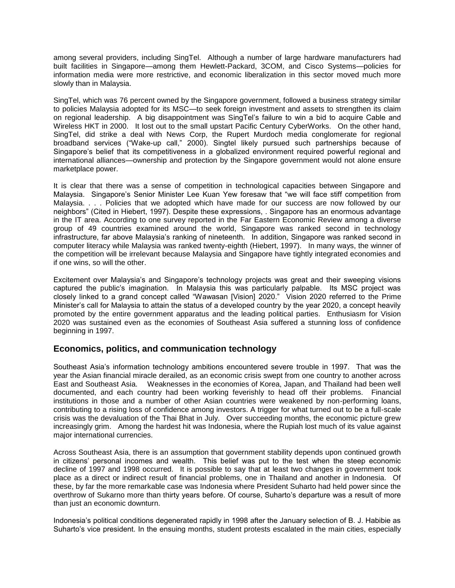among several providers, including SingTel. Although a number of large hardware manufacturers had built facilities in Singapore—among them Hewlett-Packard, 3COM, and Cisco Systems—policies for information media were more restrictive, and economic liberalization in this sector moved much more slowly than in Malaysia.

SingTel, which was 76 percent owned by the Singapore government, followed a business strategy similar to policies Malaysia adopted for its MSC—to seek foreign investment and assets to strengthen its claim on regional leadership. A big disappointment was SingTel's failure to win a bid to acquire Cable and Wireless HKT in 2000. It lost out to the small upstart Pacific Century CyberWorks. On the other hand, SingTel, did strike a deal with News Corp, the Rupert Murdoch media conglomerate for regional broadband services ("Wake-up call," 2000). Singtel likely pursued such partnerships because of Singapore's belief that its competitiveness in a globalized environment required powerful regional and international alliances—ownership and protection by the Singapore government would not alone ensure marketplace power.

It is clear that there was a sense of competition in technological capacities between Singapore and Malaysia. Singapore's Senior Minister Lee Kuan Yew foresaw that "we will face stiff competition from Malaysia. . . . Policies that we adopted which have made for our success are now followed by our neighbors" (Cited in Hiebert, 1997). Despite these expressions, . Singapore has an enormous advantage in the IT area. According to one survey reported in the Far Eastern Economic Review among a diverse group of 49 countries examined around the world, Singapore was ranked second in technology infrastructure, far above Malaysia's ranking of nineteenth. In addition, Singapore was ranked second in computer literacy while Malaysia was ranked twenty-eighth (Hiebert, 1997). In many ways, the winner of the competition will be irrelevant because Malaysia and Singapore have tightly integrated economies and if one wins, so will the other.

Excitement over Malaysia's and Singapore's technology projects was great and their sweeping visions captured the public's imagination. In Malaysia this was particularly palpable. Its MSC project was closely linked to a grand concept called "Wawasan [Vision] 2020." Vision 2020 referred to the Prime Minister's call for Malaysia to attain the status of a developed country by the year 2020, a concept heavily promoted by the entire government apparatus and the leading political parties. Enthusiasm for Vision 2020 was sustained even as the economies of Southeast Asia suffered a stunning loss of confidence beginning in 1997.

### **Economics, politics, and communication technology**

Southeast Asia's information technology ambitions encountered severe trouble in 1997. That was the year the Asian financial miracle derailed, as an economic crisis swept from one country to another across East and Southeast Asia. Weaknesses in the economies of Korea, Japan, and Thailand had been well documented, and each country had been working feverishly to head off their problems. Financial institutions in those and a number of other Asian countries were weakened by non-performing loans, contributing to a rising loss of confidence among investors. A trigger for what turned out to be a full-scale crisis was the devaluation of the Thai Bhat in July. Over succeeding months, the economic picture grew increasingly grim. Among the hardest hit was Indonesia, where the Rupiah lost much of its value against major international currencies.

Across Southeast Asia, there is an assumption that government stability depends upon continued growth in citizens' personal incomes and wealth. This belief was put to the test when the steep economic decline of 1997 and 1998 occurred. It is possible to say that at least two changes in government took place as a direct or indirect result of financial problems, one in Thailand and another in Indonesia. Of these, by far the more remarkable case was Indonesia where President Suharto had held power since the overthrow of Sukarno more than thirty years before. Of course, Suharto's departure was a result of more than just an economic downturn.

Indonesia's political conditions degenerated rapidly in 1998 after the January selection of B. J. Habibie as Suharto's vice president. In the ensuing months, student protests escalated in the main cities, especially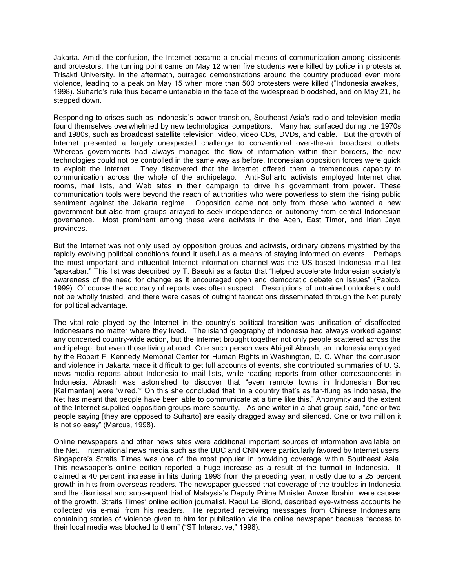Jakarta. Amid the confusion, the Internet became a crucial means of communication among dissidents and protestors. The turning point came on May 12 when five students were killed by police in protests at Trisakti University. In the aftermath, outraged demonstrations around the country produced even more violence, leading to a peak on May 15 when more than 500 protesters were killed ("Indonesia awakes," 1998). Suharto's rule thus became untenable in the face of the widespread bloodshed, and on May 21, he stepped down.

Responding to crises such as Indonesia's power transition, Southeast Asia's radio and television media found themselves overwhelmed by new technological competitors. Many had surfaced during the 1970s and 1980s, such as broadcast satellite television, video, video CDs, DVDs, and cable. But the growth of Internet presented a largely unexpected challenge to conventional over-the-air broadcast outlets. Whereas governments had always managed the flow of information within their borders, the new technologies could not be controlled in the same way as before. Indonesian opposition forces were quick to exploit the Internet. They discovered that the Internet offered them a tremendous capacity to communication across the whole of the archipelago. Anti-Suharto activists employed Internet chat rooms, mail lists, and Web sites in their campaign to drive his government from power. These communication tools were beyond the reach of authorities who were powerless to stem the rising public sentiment against the Jakarta regime. Opposition came not only from those who wanted a new government but also from groups arrayed to seek independence or autonomy from central Indonesian governance. Most prominent among these were activists in the Aceh, East Timor, and Irian Jaya provinces.

But the Internet was not only used by opposition groups and activists, ordinary citizens mystified by the rapidly evolving political conditions found it useful as a means of staying informed on events. Perhaps the most important and influential Internet information channel was the US-based Indonesia mail list "apakabar." This list was described by T. Basuki as a factor that "helped accelerate Indonesian society's awareness of the need for change as it encouraged open and democratic debate on issues" (Pabico, 1999). Of course the accuracy of reports was often suspect. Descriptions of untrained onlookers could not be wholly trusted, and there were cases of outright fabrications disseminated through the Net purely for political advantage.

The vital role played by the Internet in the country's political transition was unification of disaffected Indonesians no matter where they lived. The island geography of Indonesia had always worked against any concerted country-wide action, but the Internet brought together not only people scattered across the archipelago, but even those living abroad. One such person was Abigail Abrash, an Indonesia employed by the Robert F. Kennedy Memorial Center for Human Rights in Washington, D. C. When the confusion and violence in Jakarta made it difficult to get full accounts of events, she contributed summaries of U. S. news media reports about Indonesia to mail lists, while reading reports from other correspondents in Indonesia. Abrash was astonished to discover that "even remote towns in Indonesian Borneo [Kalimantan] were 'wired.'" On this she concluded that "in a country that's as far-flung as Indonesia, the Net has meant that people have been able to communicate at a time like this." Anonymity and the extent of the Internet supplied opposition groups more security. As one writer in a chat group said, "one or two people saying [they are opposed to Suharto] are easily dragged away and silenced. One or two million it is not so easy" (Marcus, 1998).

Online newspapers and other news sites were additional important sources of information available on the Net. International news media such as the BBC and CNN were particularly favored by Internet users. Singapore's Straits Times was one of the most popular in providing coverage within Southeast Asia. This newspaper's online edition reported a huge increase as a result of the turmoil in Indonesia. It claimed a 40 percent increase in hits during 1998 from the preceding year, mostly due to a 25 percent growth in hits from overseas readers. The newspaper guessed that coverage of the troubles in Indonesia and the dismissal and subsequent trial of Malaysia's Deputy Prime Minister Anwar Ibrahim were causes of the growth. Straits Times' online edition journalist, Raoul Le Blond, described eye-witness accounts he collected via e-mail from his readers. He reported receiving messages from Chinese Indonesians containing stories of violence given to him for publication via the online newspaper because "access to their local media was blocked to them" ("ST Interactive," 1998).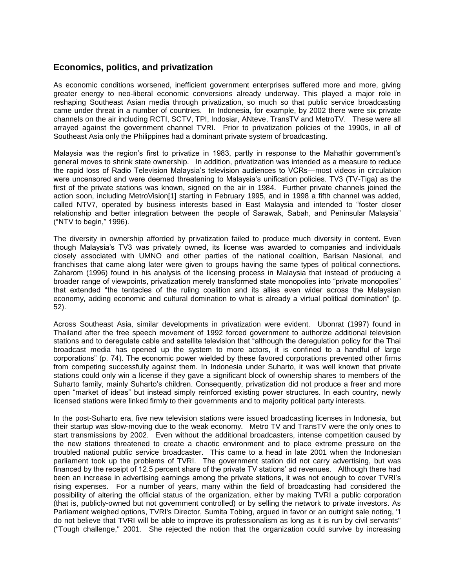## **Economics, politics, and privatization**

As economic conditions worsened, inefficient government enterprises suffered more and more, giving greater energy to neo-liberal economic conversions already underway. This played a major role in reshaping Southeast Asian media through privatization, so much so that public service broadcasting came under threat in a number of countries. In Indonesia, for example, by 2002 there were six private channels on the air including RCTI, SCTV, TPI, Indosiar, ANteve, TransTV and MetroTV. These were all arrayed against the government channel TVRI. Prior to privatization policies of the 1990s, in all of Southeast Asia only the Philippines had a dominant private system of broadcasting.

Malaysia was the region's first to privatize in 1983, partly in response to the Mahathir government's general moves to shrink state ownership. In addition, privatization was intended as a measure to reduce the rapid loss of Radio Television Malaysia's television audiences to VCRs—most videos in circulation were uncensored and were deemed threatening to Malaysia's unification policies. TV3 (TV-Tiga) as the first of the private stations was known, signed on the air in 1984. Further private channels joined the action soon, including MetroVision[1] starting in February 1995, and in 1998 a fifth channel was added, called NTV7, operated by business interests based in East Malaysia and intended to "foster closer relationship and better integration between the people of Sarawak, Sabah, and Peninsular Malaysia" ("NTV to begin," 1996).

The diversity in ownership afforded by privatization failed to produce much diversity in content. Even though Malaysia's TV3 was privately owned, its license was awarded to companies and individuals closely associated with UMNO and other parties of the national coalition, Barisan Nasional, and franchises that came along later were given to groups having the same types of political connections. Zaharom (1996) found in his analysis of the licensing process in Malaysia that instead of producing a broader range of viewpoints, privatization merely transformed state monopolies into "private monopolies" that extended "the tentacles of the ruling coalition and its allies even wider across the Malaysian economy, adding economic and cultural domination to what is already a virtual political domination" (p. 52).

Across Southeast Asia, similar developments in privatization were evident. Ubonrat (1997) found in Thailand after the free speech movement of 1992 forced government to authorize additional television stations and to deregulate cable and satellite television that "although the deregulation policy for the Thai broadcast media has opened up the system to more actors, it is confined to a handful of large corporations" (p. 74). The economic power wielded by these favored corporations prevented other firms from competing successfully against them. In Indonesia under Suharto, it was well known that private stations could only win a license if they gave a significant block of ownership shares to members of the Suharto family, mainly Suharto's children. Consequently, privatization did not produce a freer and more open "market of ideas" but instead simply reinforced existing power structures. In each country, newly licensed stations were linked firmly to their governments and to majority political party interests.

In the post-Suharto era, five new television stations were issued broadcasting licenses in Indonesia, but their startup was slow-moving due to the weak economy. Metro TV and TransTV were the only ones to start transmissions by 2002. Even without the additional broadcasters, intense competition caused by the new stations threatened to create a chaotic environment and to place extreme pressure on the troubled national public service broadcaster. This came to a head in late 2001 when the Indonesian parliament took up the problems of TVRI. The government station did not carry advertising, but was financed by the receipt of 12.5 percent share of the private TV stations' ad revenues. Although there had been an increase in advertising earnings among the private stations, it was not enough to cover TVRI's rising expenses. For a number of years, many within the field of broadcasting had considered the possibility of altering the official status of the organization, either by making TVRI a public corporation (that is, publicly-owned but not government controlled) or by selling the network to private investors. As Parliament weighed options, TVRI's Director, Sumita Tobing, argued in favor or an outright sale noting, "I do not believe that TVRI will be able to improve its professionalism as long as it is run by civil servants" ("Tough challenge," 2001. She rejected the notion that the organization could survive by increasing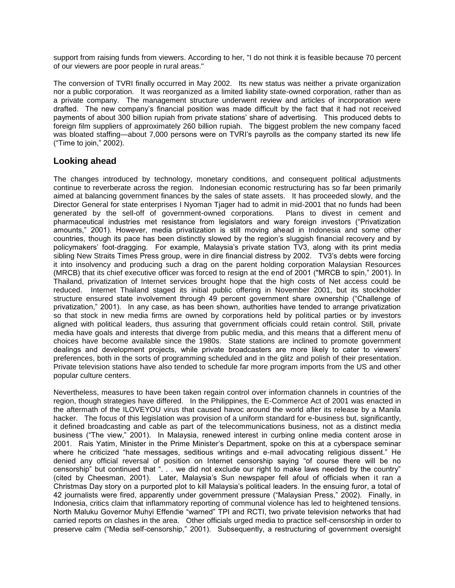support from raising funds from viewers. According to her, "I do not think it is feasible because 70 percent of our viewers are poor people in rural areas."

The conversion of TVRI finally occurred in May 2002. Its new status was neither a private organization nor a public corporation. It was reorganized as a limited liability state-owned corporation, rather than as a private company. The management structure underwent review and articles of incorporation were drafted. The new company's financial position was made difficult by the fact that it had not received payments of about 300 billion rupiah from private stations' share of advertising. This produced debts to foreign film suppliers of approximately 260 billion rupiah. The biggest problem the new company faced was bloated staffing—about 7,000 persons were on TVRI's payrolls as the company started its new life ("Time to join," 2002).

## **Looking ahead**

The changes introduced by technology, monetary conditions, and consequent political adjustments continue to reverberate across the region. Indonesian economic restructuring has so far been primarily aimed at balancing government finances by the sales of state assets. It has proceeded slowly, and the Director General for state enterprises I Nyoman Tjager had to admit in mid-2001 that no funds had been generated by the sell-off of government-owned corporations. Plans to divest in cement and pharmaceutical industries met resistance from legislators and wary foreign investors ("Privatization amounts," 2001). However, media privatization is still moving ahead in Indonesia and some other countries, though its pace has been distinctly slowed by the region's sluggish financial recovery and by policymakers' foot-dragging. For example, Malaysia's private station TV3, along with its print media sibling New Straits Times Press group, were in dire financial distress by 2002. TV3's debts were forcing it into insolvency and producing such a drag on the parent holding corporation Malaysian Resources (MRCB) that its chief executive officer was forced to resign at the end of 2001 ("MRCB to spin," 2001). In Thailand, privatization of Internet services brought hope that the high costs of Net access could be reduced. Internet Thailand staged its initial public offering in November 2001, but its stockholder structure ensured state involvement through 49 percent government share ownership ("Challenge of privatization," 2001). In any case, as has been shown, authorities have tended to arrange privatization so that stock in new media firms are owned by corporations held by political parties or by investors aligned with political leaders, thus assuring that government officials could retain control. Still, private media have goals and interests that diverge from public media, and this means that a different menu of choices have become available since the 1980s. State stations are inclined to promote government dealings and development projects, while private broadcasters are more likely to cater to viewers' preferences, both in the sorts of programming scheduled and in the glitz and polish of their presentation. Private television stations have also tended to schedule far more program imports from the US and other popular culture centers.

Nevertheless, measures to have been taken regain control over information channels in countries of the region, though strategies have differed. In the Philippines, the E-Commerce Act of 2001 was enacted in the aftermath of the ILOVEYOU virus that caused havoc around the world after its release by a Manila hacker. The focus of this legislation was provision of a uniform standard for e-business but, significantly, it defined broadcasting and cable as part of the telecommunications business, not as a distinct media business ("The view," 2001). In Malaysia, renewed interest in curbing online media content arose in 2001. Rais Yatim, Minister in the Prime Minister's Department, spoke on this at a cyberspace seminar where he criticized "hate messages, seditious writings and e-mail advocating religious dissent." He denied any official reversal of position on Internet censorship saying "of course there will be no censorship" but continued that ". . . we did not exclude our right to make laws needed by the country" (cited by Cheesman, 2001). Later, Malaysia's Sun newspaper fell afoul of officials when it ran a Christmas Day story on a purported plot to kill Malaysia's political leaders. In the ensuing furor, a total of 42 journalists were fired, apparently under government pressure ("Malaysian Press," 2002). Finally, in Indonesia, critics claim that inflammatory reporting of communal violence has led to heightened tensions. North Maluku Governor Muhyi Effendie "warned" TPI and RCTI, two private television networks that had carried reports on clashes in the area. Other officials urged media to practice self-censorship in order to preserve calm ("Media self-censorship," 2001). Subsequently, a restructuring of government oversight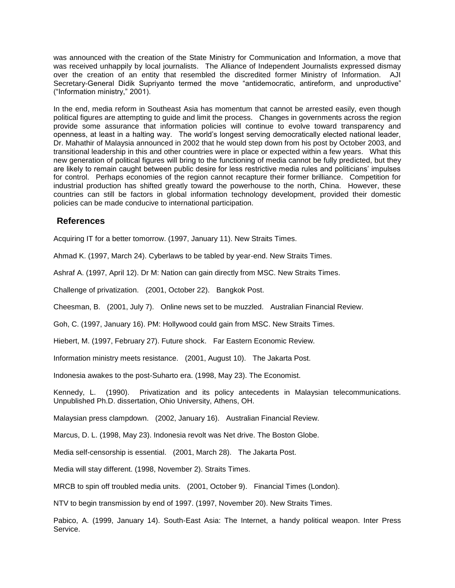was announced with the creation of the State Ministry for Communication and Information, a move that was received unhappily by local journalists. The Alliance of Independent Journalists expressed dismay over the creation of an entity that resembled the discredited former Ministry of Information. AJI Secretary-General Didik Supriyanto termed the move "antidemocratic, antireform, and unproductive" ("Information ministry," 2001).

In the end, media reform in Southeast Asia has momentum that cannot be arrested easily, even though political figures are attempting to guide and limit the process. Changes in governments across the region provide some assurance that information policies will continue to evolve toward transparency and openness, at least in a halting way. The world's longest serving democratically elected national leader, Dr. Mahathir of Malaysia announced in 2002 that he would step down from his post by October 2003, and transitional leadership in this and other countries were in place or expected within a few years. What this new generation of political figures will bring to the functioning of media cannot be fully predicted, but they are likely to remain caught between public desire for less restrictive media rules and politicians' impulses for control. Perhaps economies of the region cannot recapture their former brilliance. Competition for industrial production has shifted greatly toward the powerhouse to the north, China. However, these countries can still be factors in global information technology development, provided their domestic policies can be made conducive to international participation.

## **References**

Acquiring IT for a better tomorrow. (1997, January 11). New Straits Times.

Ahmad K. (1997, March 24). Cyberlaws to be tabled by year-end. New Straits Times.

Ashraf A. (1997, April 12). Dr M: Nation can gain directly from MSC. New Straits Times.

Challenge of privatization. (2001, October 22). Bangkok Post.

Cheesman, B. (2001, July 7). Online news set to be muzzled. Australian Financial Review.

Goh, C. (1997, January 16). PM: Hollywood could gain from MSC. New Straits Times.

Hiebert, M. (1997, February 27). Future shock. Far Eastern Economic Review.

Information ministry meets resistance. (2001, August 10). The Jakarta Post.

Indonesia awakes to the post-Suharto era. (1998, May 23). The Economist.

Kennedy, L. (1990). Privatization and its policy antecedents in Malaysian telecommunications. Unpublished Ph.D. dissertation, Ohio University, Athens, OH.

Malaysian press clampdown. (2002, January 16). Australian Financial Review.

Marcus, D. L. (1998, May 23). Indonesia revolt was Net drive. The Boston Globe.

Media self-censorship is essential. (2001, March 28). The Jakarta Post.

Media will stay different. (1998, November 2). Straits Times.

MRCB to spin off troubled media units. (2001, October 9). Financial Times (London).

NTV to begin transmission by end of 1997. (1997, November 20). New Straits Times.

Pabico, A. (1999, January 14). South-East Asia: The Internet, a handy political weapon. Inter Press Service.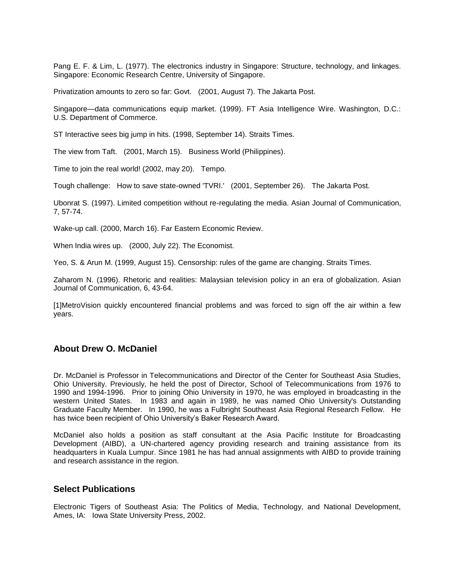Pang E. F. & Lim, L. (1977). The electronics industry in Singapore: Structure, technology, and linkages. Singapore: Economic Research Centre, University of Singapore.

Privatization amounts to zero so far: Govt. (2001, August 7). The Jakarta Post.

Singapore—data communications equip market. (1999). FT Asia Intelligence Wire. Washington, D.C.: U.S. Department of Commerce.

ST Interactive sees big jump in hits. (1998, September 14). Straits Times.

The view from Taft. (2001, March 15). Business World (Philippines).

Time to join the real world! (2002, may 20). Tempo.

Tough challenge: How to save state-owned 'TVRI.' (2001, September 26). The Jakarta Post.

Ubonrat S. (1997). Limited competition without re-regulating the media. Asian Journal of Communication, 7, 57-74.

Wake-up call. (2000, March 16). Far Eastern Economic Review.

When India wires up. (2000, July 22). The Economist.

Yeo, S. & Arun M. (1999, August 15). Censorship: rules of the game are changing. Straits Times.

Zaharom N. (1996). Rhetoric and realities: Malaysian television policy in an era of globalization. Asian Journal of Communication, 6, 43-64.

[1]MetroVision quickly encountered financial problems and was forced to sign off the air within a few years.

### **About Drew O. McDaniel**

Dr. McDaniel is Professor in Telecommunications and Director of the Center for Southeast Asia Studies, Ohio University. Previously, he held the post of Director, School of Telecommunications from 1976 to 1990 and 1994-1996. Prior to joining Ohio University in 1970, he was employed in broadcasting in the western United States. In 1983 and again in 1989, he was named Ohio University's Outstanding Graduate Faculty Member. In 1990, he was a Fulbright Southeast Asia Regional Research Fellow. He has twice been recipient of Ohio University's Baker Research Award.

McDaniel also holds a position as staff consultant at the Asia Pacific Institute for Broadcasting Development (AIBD), a UN-chartered agency providing research and training assistance from its headquarters in Kuala Lumpur. Since 1981 he has had annual assignments with AIBD to provide training and research assistance in the region.

#### **Select Publications**

Electronic Tigers of Southeast Asia: The Politics of Media, Technology, and National Development, Ames, IA: Iowa State University Press, 2002.